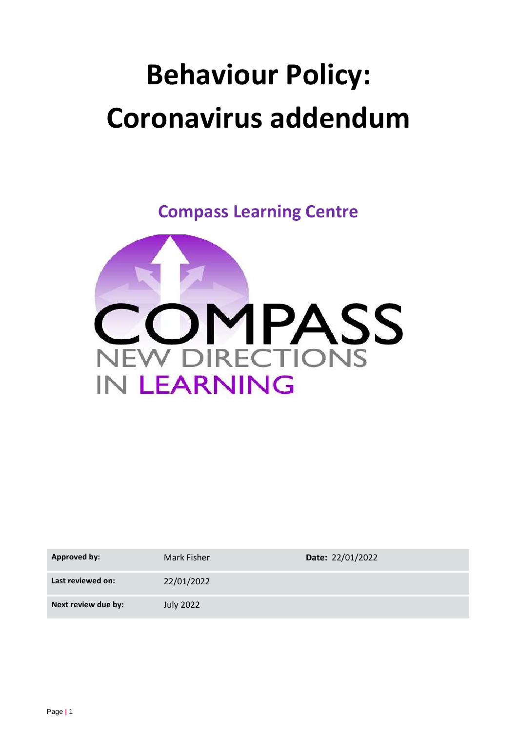# **Behaviour Policy: Coronavirus addendum**

**Compass Learning Centre**



| <b>Approved by:</b> | Mark Fisher      | Date: 22/01/2022 |
|---------------------|------------------|------------------|
| Last reviewed on:   | 22/01/2022       |                  |
| Next review due by: | <b>July 2022</b> |                  |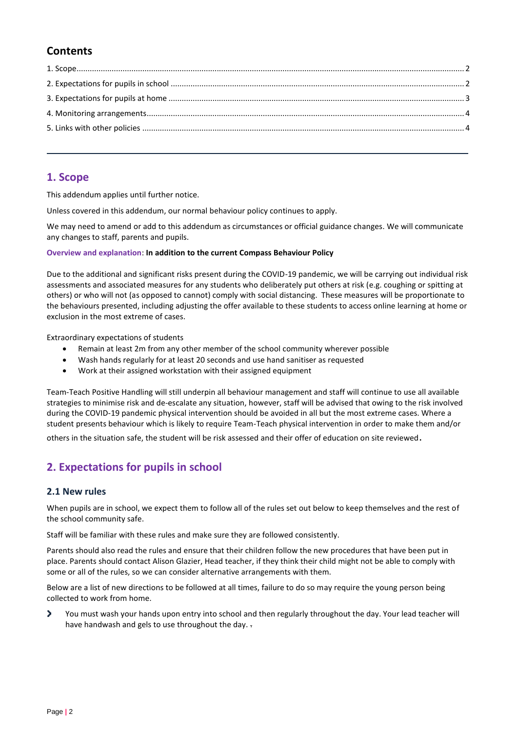# **Contents**

## <span id="page-1-0"></span>**1. Scope**

This addendum applies until further notice.

Unless covered in this addendum, our normal behaviour policy continues to apply.

We may need to amend or add to this addendum as circumstances or official guidance changes. We will communicate any changes to staff, parents and pupils.

#### **Overview and explanation**: **In addition to the current Compass Behaviour Policy**

Due to the additional and significant risks present during the COVID-19 pandemic, we will be carrying out individual risk assessments and associated measures for any students who deliberately put others at risk (e.g. coughing or spitting at others) or who will not (as opposed to cannot) comply with social distancing.  These measures will be proportionate to the behaviours presented, including adjusting the offer available to these students to access online learning at home or exclusion in the most extreme of cases.

Extraordinary expectations of students

- Remain at least 2m from any other member of the school community wherever possible
- Wash hands regularly for at least 20 seconds and use hand sanitiser as requested
- Work at their assigned workstation with their assigned equipment

Team-Teach Positive Handling will still underpin all behaviour management and staff will continue to use all available strategies to minimise risk and de-escalate any situation, however, staff will be advised that owing to the risk involved during the COVID-19 pandemic physical intervention should be avoided in all but the most extreme cases. Where a student presents behaviour which is likely to require Team-Teach physical intervention in order to make them and/or others in the situation safe, the student will be risk assessed and their offer of education on site reviewed.

## <span id="page-1-1"></span>**2. Expectations for pupils in school**

#### **2.1 New rules**

When pupils are in school, we expect them to follow all of the rules set out below to keep themselves and the rest of the school community safe.

Staff will be familiar with these rules and make sure they are followed consistently.

Parents should also read the rules and ensure that their children follow the new procedures that have been put in place. Parents should contact Alison Glazier, Head teacher, if they think their child might not be able to comply with some or all of the rules, so we can consider alternative arrangements with them.

Below are a list of new directions to be followed at all times, failure to do so may require the young person being collected to work from home.

5 You must wash your hands upon entry into school and then regularly throughout the day. Your lead teacher will have handwash and gels to use throughout the day. -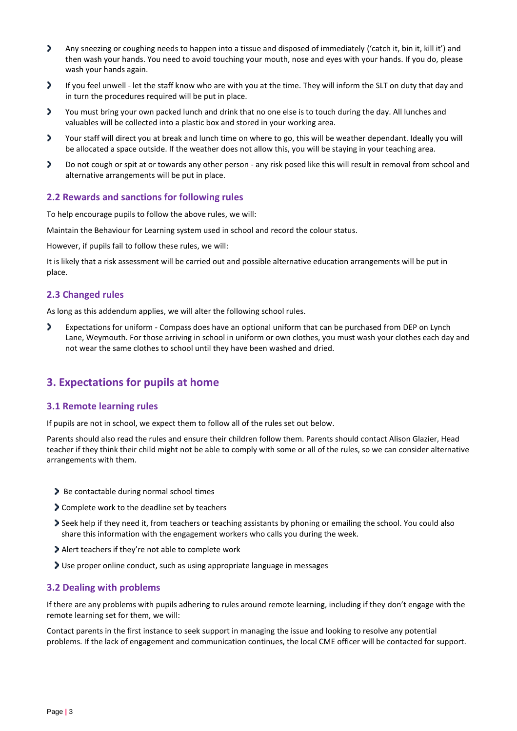- > Any sneezing or coughing needs to happen into a tissue and disposed of immediately ('catch it, bin it, kill it') and then wash your hands. You need to avoid touching your mouth, nose and eyes with your hands. If you do, please wash your hands again.
- э If you feel unwell - let the staff know who are with you at the time. They will inform the SLT on duty that day and in turn the procedures required will be put in place.
- 5 You must bring your own packed lunch and drink that no one else is to touch during the day. All lunches and valuables will be collected into a plastic box and stored in your working area.
- э Your staff will direct you at break and lunch time on where to go, this will be weather dependant. Ideally you will be allocated a space outside. If the weather does not allow this, you will be staying in your teaching area.
- ٠ Do not cough or spit at or towards any other person - any risk posed like this will result in removal from school and alternative arrangements will be put in place.

#### **2.2 Rewards and sanctions for following rules**

To help encourage pupils to follow the above rules, we will:

Maintain the Behaviour for Learning system used in school and record the colour status.

However, if pupils fail to follow these rules, we will:

It is likely that a risk assessment will be carried out and possible alternative education arrangements will be put in place.

#### **2.3 Changed rules**

As long as this addendum applies, we will alter the following school rules.

Expectations for uniform - Compass does have an optional uniform that can be purchased from DEP on Lynch э Lane, Weymouth. For those arriving in school in uniform or own clothes, you must wash your clothes each day and not wear the same clothes to school until they have been washed and dried.

### <span id="page-2-0"></span>**3. Expectations for pupils at home**

#### **3.1 Remote learning rules**

If pupils are not in school, we expect them to follow all of the rules set out below.

Parents should also read the rules and ensure their children follow them. Parents should contact Alison Glazier, Head teacher if they think their child might not be able to comply with some or all of the rules, so we can consider alternative arrangements with them.

- Be contactable during normal school times
- Complete work to the deadline set by teachers
- Seek help if they need it, from teachers or teaching assistants by phoning or emailing the school. You could also share this information with the engagement workers who calls you during the week.
- Alert teachers if they're not able to complete work
- Use proper online conduct, such as using appropriate language in messages

#### **3.2 Dealing with problems**

If there are any problems with pupils adhering to rules around remote learning, including if they don't engage with the remote learning set for them, we will:

Contact parents in the first instance to seek support in managing the issue and looking to resolve any potential problems. If the lack of engagement and communication continues, the local CME officer will be contacted for support.